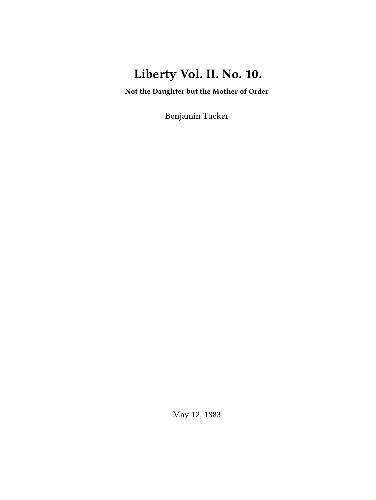# **Liberty Vol. II. No. 10.**

**Not the Daughter but the Mother of Order**

Benjamin Tucker

May 12, 1883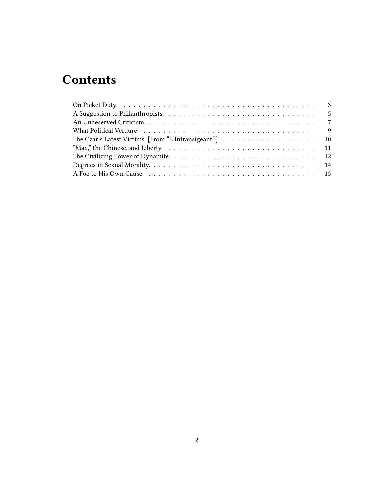# **Contents**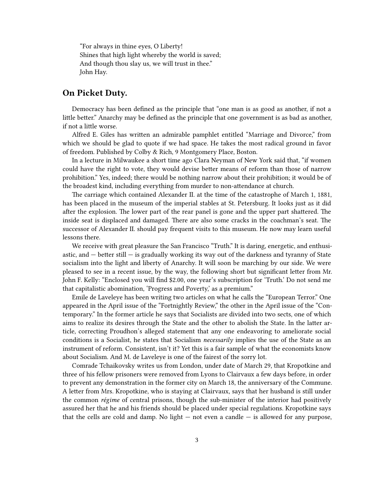"For always in thine eyes, O Liberty! Shines that high light whereby the world is saved; And though thou slay us, we will trust in thee." John Hay.

### <span id="page-2-0"></span>**On Picket Duty.**

Democracy has been defined as the principle that "one man is as good as another, if not a little better." Anarchy may be defined as the principle that one government is as bad as another, if not a little worse.

Alfred E. Giles has written an admirable pamphlet entitled "Marriage and Divorce," from which we should be glad to quote if we had space. He takes the most radical ground in favor of freedom. Published by Colby & Rich, 9 Montgomery Place, Boston.

In a lecture in Milwaukee a short time ago Clara Neyman of New York said that, "if women could have the right to vote, they would devise better means of reform than those of narrow prohibition." Yes, indeed; there would be nothing narrow about their prohibition; it would be of the broadest kind, including everything from murder to non-attendance at church.

The carriage which contained Alexander II. at the time of the catastrophe of March 1, 1881, has been placed in the museum of the imperial stables at St. Petersburg. It looks just as it did after the explosion. The lower part of the rear panel is gone and the upper part shattered. The inside seat is displaced and damaged. There are also some cracks in the coachman's seat. The successor of Alexander II. should pay frequent visits to this museum. He now may learn useful lessons there.

We receive with great pleasure the San Francisco "Truth." It is daring, energetic, and enthusiastic, and  $-$  better still  $-$  is gradually working its way out of the darkness and tyranny of State socialism into the light and liberty of Anarchy. It will soon be marching by our side. We were pleased to see in a recent issue, by the way, the following short but significant letter from Mr. John F. Kelly: "Enclosed you will find \$2.00, one year's subscription for 'Truth.' Do not send me that capitalistic abomination, 'Progress and Poverty,' as a premium."

Emile de Laveleye has been writing two articles on what he calls the "European Terror." One appeared in the April issue of the "Fortnightly Review," the other in the April issue of the "Contemporary." In the former article he says that Socialists are divided into two sects, one of which aims to realize its desires through the State and the other to abolish the State. In the latter article, correcting Proudhon's alleged statement that any one endeavoring to ameliorate social conditions is a Socialist, he states that Socialism *necessarily* implies the use of the State as an instrument of reform. Consistent, isn't it? Yet this is a fair sample of what the economists know about Socialism. And M. de Laveleye is one of the fairest of the sorry lot.

Comrade Tchaikovsky writes us from London, under date of March 29, that Kropotkine and three of his fellow prisoners were removed from Lyons to Clairvaux a few days before, in order to prevent any demonstration in the former city on March 18, the anniversary of the Commune. A letter from Mrs. Kropotkine, who is staying at Clairvaux, says that her husband is still under the common *régime* of central prisons, though the sub-minister of the interior had positively assured her that he and his friends should be placed under special regulations. Kropotkine says that the cells are cold and damp. No light  $-$  not even a candle  $-$  is allowed for any purpose,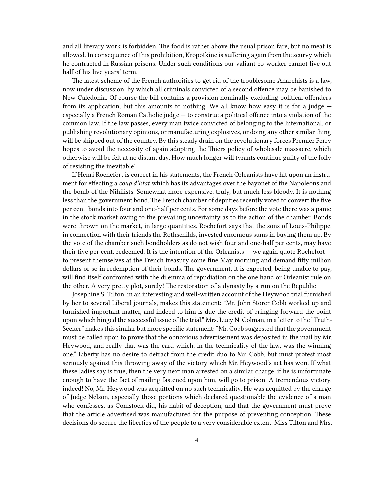and all literary work is forbidden. The food is rather above the usual prison fare, but no meat is allowed. In consequence of this prohibition, Kropotkine is suffering again from the scurvy which he contracted in Russian prisons. Under such conditions our valiant co-worker cannot live out half of his live years' term.

The latest scheme of the French authorities to get rid of the troublesome Anarchists is a law, now under discussion, by which all criminals convicted of a second offence may be banished to New Caledonia. Of course the bill contains a provision nominally excluding political offenders from its application, but this amounts to nothing. We all know how easy it is for a judge  $$ especially a French Roman Catholic judge — to construe a political offence into a violation of the common law. If the law passes, every man twice convicted of belonging to the International, or publishing revolutionary opinions, or manufacturing explosives, or doing any other similar thing will be shipped out of the country. By this steady drain on the revolutionary forces Premier Ferry hopes to avoid the necessity of again adopting the Thiers policy of wholesale massacre, which otherwise will be felt at no distant day. How much longer will tyrants continue guilty of the folly of resisting the inevitable!

If Henri Rochefort is correct in his statements, the French Orleanists have hit upon an instrument for effecting a *coup d'Etat* which has its advantages over the bayonet of the Napoleons and the bomb of the Nihilists. Somewhat more expensive, truly, but much less bloody. It is nothing less than the government bond. The French chamber of deputies recently voted to convert the five per cent. bonds into four and one-half per cents. For some days before the vote there was a panic in the stock market owing to the prevailing uncertainty as to the action of the chamber. Bonds were thrown on the market, in large quantities. Rochefort says that the sons of Louis-Philippe, in connection with their friends the Rothschilds, invested enormous sums in buying them up. By the vote of the chamber such bondholders as do not wish four and one-half per cents, may have their five per cent. redeemed. It is the intention of the Orleanists — we again quote Rochefort to present themselves at the French treasury some fine May morning and demand fifty million dollars or so in redemption of their bonds. The government, it is expected, being unable to pay, will find itself confronted with the dilemma of repudiation on the one hand or Orleanist rule on the other. A very pretty plot, surely! The restoration of a dynasty by a run on the Republic!

Josephine S. Tilton, in an interesting and well-written account of the Heywood trial furnished by her to several Liberal journals, makes this statement: "Mr. John Storer Cobb worked up and furnished important matter, and indeed to him is due the credit of bringing forward the point upon which hinged the successful issue of the trial." Mrs. Lucy N. Colman, in a letter to the "Truth-Seeker" makes this similar but more specific statement: "Mr. Cobb suggested that the government must be called upon to prove that the obnoxious advertisement was deposited in the mail by Mr. Heywood, and really that was the card which, in the technicality of the law, was the winning one." Liberty has no desire to detract from the credit duo to Mr. Cobb, but must protest most seriously against this throwing away of the victory which Mr. Heywood's act has won. If what these ladies say is true, then the very next man arrested on a similar charge, if he is unfortunate enough to have the fact of mailing fastened upon him, will go to prison. A tremendous victory, indeed! No, Mr. Heywood was acquitted on no such technicality. He was acquitted by the charge of Judge Nelson, especially those portions which declared questionable the evidence of a man who confesses, as Comstock did, his habit of deception, and that the government must prove that the article advertised was manufactured for the purpose of preventing conception. These decisions do secure the liberties of the people to a very considerable extent. Miss Tilton and Mrs.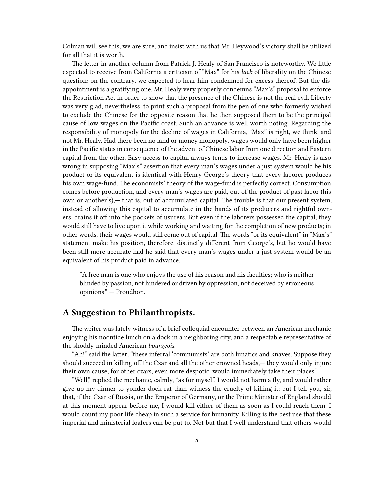Colman will see this, we are sure, and insist with us that Mr. Heywood's victory shall be utilized for all that it is worth.

The letter in another column from Patrick J. Healy of San Francisco is noteworthy. We little expected to receive from California a criticism of "Max" for his *lack* of liberality on the Chinese question: on the contrary, we expected to hear him condemned for excess thereof. But the disappointment is a gratifying one. Mr. Healy very properly condemns "Max's" proposal to enforce the Restriction Act in order to show that the presence of the Chinese is not the real evil. Liberty was very glad, nevertheless, to print such a proposal from the pen of one who formerly wished to exclude the Chinese for the opposite reason that he then supposed them to be the principal cause of low wages on the Pacific coast. Such an advance is well worth noting. Regarding the responsibility of monopoly for the decline of wages in California, "Max" is right, we think, and not Mr. Healy. Had there been no land or money monopoly, wages would only have been higher in the Pacific states in consequence of the advent of Chinese labor from one direction and Eastern capital from the other. Easy access to capital always tends to increase wages. Mr. Healy is also wrong in supposing "Max's" assertion that every man's wages under a just system would be his product or its equivalent is identical with Henry George's theory that every laborer produces his own wage-fund. The economists' theory of the wage-fund is perfectly correct. Consumption comes before production, and every man's wages are paid, out of the product of past labor (his own or another's),— that is, out of accumulated capital. The trouble is that our present system, instead of allowing this capital to accumulate in the hands of its producers and rightful owners, drains it off into the pockets of usurers. But even if the laborers possessed the capital, they would still have to live upon it while working and waiting for the completion of new products; in other words, their wages would still come out of capital. The words "or its equivalent" in "Max's" statement make his position, therefore, distinctly different from George's, but ho would have been still more accurate had he said that every man's wages under a just system would be an equivalent of his product paid in advance.

"A free man is one who enjoys the use of his reason and his faculties; who is neither blinded by passion, not hindered or driven by oppression, not deceived by erroneous opinions." — Proudhon.

### <span id="page-4-0"></span>**A Suggestion to Philanthropists.**

The writer was lately witness of a brief colloquial encounter between an American mechanic enjoying his noontide lunch on a dock in a neighboring city, and a respectable representative of the shoddy-minded American *bourgeois.*

"Ah!" said the latter; "these inferral 'communists' are both lunatics and knaves. Suppose they should succeed in killing off the Czar and all the other crowned heads,— they would only injure their own cause; for other czars, even more despotic, would immediately take their places."

"Well," replied the mechanic, calmly, "as for myself, I would not harm a fly, and would rather give up my dinner to yonder dock-rat than witness the cruelty of killing it; but I tell you, sir, that, if the Czar of Russia, or the Emperor of Germany, or the Prime Minister of England should at this moment appear before me, I would kill either of them as soon as I could reach them. I would count my poor life cheap in such a service for humanity. Killing is the best use that these imperial and ministerial loafers can be put to. Not but that I well understand that others would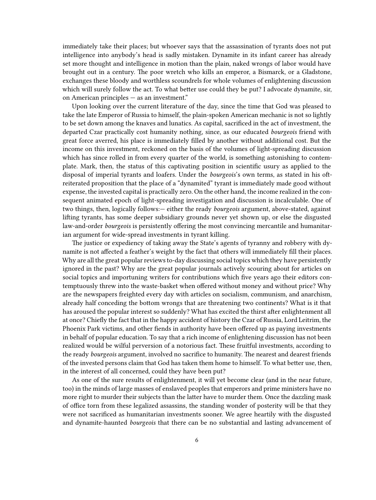immediately take their places; but whoever says that the assassination of tyrants does not put intelligence into anybody's head is sadly mistaken. Dynamite in its infant career has already set more thought and intelligence in motion than the plain, naked wrongs of labor would have brought out in a century. The poor wretch who kills an emperor, a Bismarck, or a Gladstone, exchanges these bloody and worthless scoundrels for whole volumes of enlightening discussion which will surely follow the act. To what better use could they be put? I advocate dynamite, sir, on American principles — as an investment."

Upon looking over the current literature of the day, since the time that God was pleased to take the late Emperor of Russia to himself, the plain-spoken American mechanic is not so lightly to be set down among the knaves and lunatics. As capital, sacrificed in the act of investment, the departed Czar practically cost humanity nothing, since, as our educated *bourgeois* friend with great force averred, his place is immediately filled by another without additional cost. But the income on this investment, reckoned on the basis of the volumes of light-spreading discussion which has since rolled in from every quarter of the world, is something astonishing to contemplate. Mark, then, the status of this captivating position in scientific usury as applied to the disposal of imperial tyrants and loafers. Under the *bourgeois*'s own terms, as stated in his oftreiterated proposition that the place of a "dynamited" tyrant is immediately made good without expense, the invested capital is practically zero. On the other hand, the income realized in the consequent animated epoch of light-spreading investigation and discussion is incalculable. One of two things, then, logically follows:— either the ready *bourgeois* argument, above-stated, against lifting tyrants, has some deeper subsidiary grounds never yet shown up, or else the disgusted law-and-order *bourgeois* is persistently offering the most convincing mercantile and humanitarian argument for wide-spread investments in tyrant killing.

The justice or expediency of taking away the State's agents of tyranny and robbery with dynamite is not affected a feather's weight by the fact that others will immediately fill their places. Why are all the great popular reviews to-day discussing social topics which they have persistently ignored in the past? Why are the great popular journals actively scouring about for articles on social topics and importuning writers for contributions which five years ago their editors contemptuously threw into the waste-basket when offered without money and without price? Why are the newspapers freighted every day with articles on socialism, communism, and anarchism, already half conceding the bottom wrongs that are threatening two continents? What is it that has aroused the popular interest so suddenly? What has excited the thirst after enlightenment all at once? Chiefly the fact that in the happy accident of history the Czar of Russia, Lord Leitrim, the Phoenix Park victims, and other fiends in authority have been offered up as paying investments in behalf of popular education. To say that a rich income of enlightening discussion has not been realized would be wilful perversion of a notorious fact. These fruitful investments, according to the ready *bourgeois* argument, involved no sacrifice to humanity. The nearest and dearest friends of the invested persons claim that God has taken them home to himself. To what better use, then, in the interest of all concerned, could they have been put?

As one of the sure results of enlightenment, it will yet become clear (and in the near future, too) in the minds of large masses of enslaved peoples that emperors and prime ministers have no more right to murder their subjects than the latter have to murder them. Once the dazzling mask of office torn from these legalized assassins, the standing wonder of posterity will be that they were not sacrificed as humanitarian investments sooner. We agree heartily with the disgusted and dynamite-haunted *bourgeois* that there can be no substantial and lasting advancement of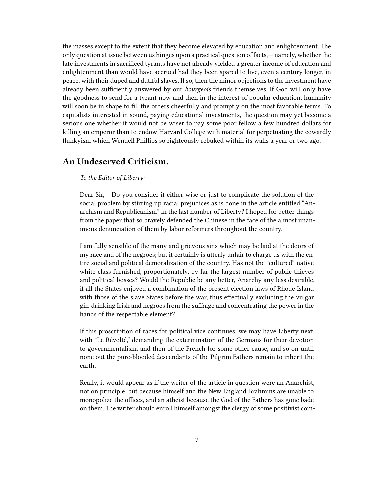the masses except to the extent that they become elevated by education and enlightenment. The only question at issue between us hinges upon a practical question of facts,— namely, whether the late investments in sacrificed tyrants have not already yielded a greater income of education and enlightenment than would have accrued had they been spared to live, even a century longer, in peace, with their duped and dutiful slaves. If so, then the minor objections to the investment have already been sufficiently answered by our *bourgeois* friends themselves. If God will only have the goodness to send for a tyrant now and then in the interest of popular education, humanity will soon be in shape to fill the orders cheerfully and promptly on the most favorable terms. To capitalists interested in sound, paying educational investments, the question may yet become a serious one whether it would not be wiser to pay some poor fellow a few hundred dollars for killing an emperor than to endow Harvard College with material for perpetuating the cowardly flunkyism which Wendell Phillips so righteously rebuked within its walls a year or two ago.

#### <span id="page-6-0"></span>**An Undeserved Criticism.**

#### *To the Editor of Liberty:*

Dear Sir,— Do you consider it either wise or just to complicate the solution of the social problem by stirring up racial prejudices as is done in the article entitled "Anarchism and Republicanism" in the last number of Liberty? I hoped for better things from the paper that so bravely defended the Chinese in the face of the almost unanimous denunciation of them by labor reformers throughout the country.

I am fully sensible of the many and grievous sins which may be laid at the doors of my race and of the negroes; but it certainly is utterly unfair to charge us with the entire social and political demoralization of the country. Has not the "cultured" native white class furnished, proportionately, by far the largest number of public thieves and political bosses? Would the Republic be any better, Anarchy any less desirable, if all the States enjoyed a combination of the present election laws of Rhode Island with those of the slave States before the war, thus effectually excluding the vulgar gin-drinking Irish and negroes from the suffrage and concentrating the power in the hands of the respectable element?

If this proscription of races for political vice continues, we may have Liberty next, with "Le Révolté," demanding the extermination of the Germans for their devotion to governmentalism, and then of the French for some other cause, and so on until none out the pure-blooded descendants of the Pilgrim Fathers remain to inherit the earth.

Really, it would appear as if the writer of the article in question were an Anarchist, not on principle, but because himself and the New England Brahmins are unable to monopolize the offices, and an atheist because the God of the Fathers has gone bade on them. The writer should enroll himself amongst the clergy of some positivist com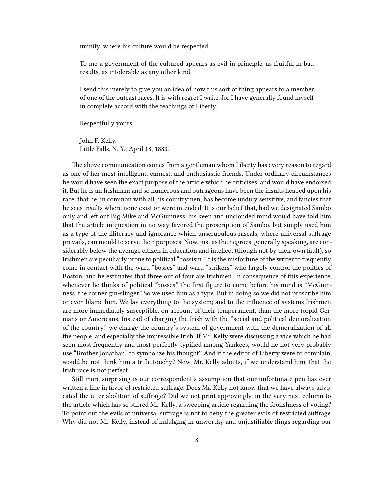munity, where his culture would be respected.

To me a government of the cultured appears as evil in principle, as fruitful in bad results, as intolerable as any other kind.

I send this merely to give you an idea of how this sort of thing appears to a member of one of the outcast races. It is with regret I write, for I have generally found myself in complete accord with the teachings of Liberty.

Respectfully yours,

John F. Kelly. Little Falls, N. Y., April 18, 1883.

The above communication comes from a gentleman whom Liberty has every reason to regard as one of her most intelligent, earnest, and enthusiastic friends. Under ordinary circumstances he would have seen the exact purpose of the article which he criticises, and would have endorsed it. But he is an Irishman; and so numerous and outrageous have been the insults heaped upon his race, that he, in common with all his countrymen, has become unduly sensitive, and fancies that he sees insults where none exist or were intended. It is our belief that, had we designated Sambo only and left out Big Mike and McGuinness, his keen and unclouded mind would have told him that the article in question in no way favored the proscription of Sambo, but simply used him as a type of the illiteracy and ignorance which unscrupulous rascals, where universal suffrage prevails, can mould to serve their purposes. Now, just as the negroes, generally speaking, are considerably below the average citizen in education and intellect (though not by their own fault), so Irishmen are peculiarly prone to political "bossism." It is the misfortune of the writer to frequently come in contact with the ward "bosses" and ward "strikers" who largely control the politics of Boston, and he estimates that three out of four are Irishmen. In consequence of this experience, whenever he thinks of political "bosses," the first figure to come before his mind is "McGuinness, the corner gin-slinger." So we used him as a type. But in doing so we did not proscribe him or even blame him. We lay everything to the system; and to the influence of systems Irishmen are more immediately susceptible, on account of their temperament, than the more torpid Germans or Americans. Instead of charging the Irish with the "social and political demoralization of the country," we charge the country's system of government with the demoralization of all the people, and especially the impressible Irish. If Mr. Kelly were discussing a vice which he had seen most frequently and most perfectly typified among Yankees, would he not very probably use "Brother Jonathan" to symbolize his thought? And if the editor of Liberty were to complain, would he not think him a trifle touchy? Now, Mr. Kelly admits, if we understand him, that the Irish race is not perfect.

Still more surprising is our correspondent's assumption that our unfortunate pen has ever written a line in favor of restricted suffrage. Does Mr. Kelly not know that we have always advocated the utter abolition of suffrage? Did we not print approvingly, in the very next column to the article which has so stirred Mr. Kelly, a sweeping article regarding the foolishness of voting? To point out the evils of universal suffrage is not to deny the greater evils of restricted suffrage. Why did not Mr. Kelly, instead of indulging in unworthy and unjustifiable flings regarding our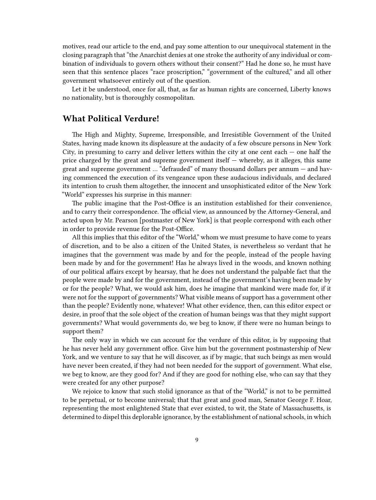motives, read our article to the end, and pay some attention to our unequivocal statement in the closing paragraph that "the Anarchist denies at one stroke the authority of any individual or combination of individuals to govern others without their consent?" Had he done so, he must have seen that this sentence places "race proscription," "government of the cultured," and all other government whatsoever entirely out of the question.

Let it be understood, once for all, that, as far as human rights are concerned, Liberty knows no nationality, but is thoroughly cosmopolitan.

#### <span id="page-8-0"></span>**What Political Verdure!**

The High and Mighty, Supreme, Irresponsible, and Irresistible Government of the United States, having made known its displeasure at the audacity of a few obscure persons in New York City, in presuming to carry and deliver letters within the city at one cent each  $-$  one half the price charged by the great and supreme government itself — whereby, as it alleges, this same great and supreme government … "defrauded" of many thousand dollars per annum — and having commenced the execution of its vengeance upon these audacious individuals, and declared its intention to crush them altogether, the innocent and unsophisticated editor of the New York "World" expresses his surprise in this manner:

The public imagine that the Post-Office is an institution established for their convenience, and to carry their correspondence. The official view, as announced by the Attorney-General, and acted upon by Mr. Pearson [postmaster of New York] is that people correspond with each other in order to provide revenue for the Post-Office.

All this implies that this editor of the "World," whom we must presume to have come to years of discretion, and to be also a citizen of the United States, is nevertheless so verdant that he imagines that the government was made by and for the people, instead of the people having been made by and for the government! Has he always lived in the woods, and known nothing of our political affairs except by hearsay, that he does not understand the palpable fact that the people were made by and for the government, instead of the government's having been made by or for the people? What, we would ask him, does he imagine that mankind were made for, if it were not for the support of governments? What visible means of support has a government other than the people? Evidently none, whatever! What other evidence, then, can this editor expect or desire, in proof that the sole object of the creation of human beings was that they might support governments? What would governments do, we beg to know, if there were no human beings to support them?

The only way in which we can account for the verdure of this editor, is by supposing that he has never held any government office. Give him but the government postmastership of New York, and we venture to say that he will discover, as if by magic, that such beings as men would have never been created, if they had not been needed for the support of government. What else, we beg to know, are they good for? And if they are good for nothing else, who can say that they were created for any other purpose?

We rejoice to know that such stolid ignorance as that of the "World," is not to be permitted to be perpetual, or to become universal; that that great and good man, Senator George F. Hoar, representing the most enlightened State that ever existed, to wit, the State of Massachusetts, is determined to dispel this deplorable ignorance, by the establishment of national schools, in which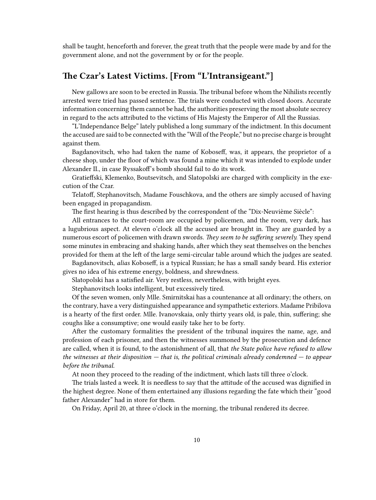shall be taught, henceforth and forever, the great truth that the people were made by and for the government alone, and not the government by or for the people.

# <span id="page-9-0"></span>**The Czar's Latest Victims. [From "L'Intransigeant."]**

New gallows are soon to be erected in Russia. The tribunal before whom the Nihilists recently arrested were tried has passed sentence. The trials were conducted with closed doors. Accurate information concerning them cannot be had, the authorities preserving the most absolute secrecy in regard to the acts attributed to the victims of His Majesty the Emperor of All the Russias.

"L'Independance Belge" lately published a long summary of the indictment. In this document the accused are said to be connected with the "Will of the People," but no precise charge is brought against them.

Bagdanovitsch, who had taken the name of Koboseff, was, it appears, the proprietor of a cheese shop, under the floor of which was found a mine which it was intended to explode under Alexander II., in case Ryssakof's bomb should fail to do its work.

Gratieffski, Klemenko, Boutsevitsch, and Slatopolski are charged with complicity in the execution of the Czar.

Telatoff, Stephanovitsch, Madame Fouschkova, and the others are simply accused of having been engaged in propagandism.

The first hearing is thus described by the correspondent of the "Dix-Neuvième Siècle":

All entrances to the court-room are occupied by policemen, and the room, very dark, has a lugubrious aspect. At eleven o'clock all the accused are brought in. They are guarded by a numerous escort of policemen with drawn swords. *They seem to be suffering severely.* They spend some minutes in embracing and shaking hands, after which they seat themselves on the benches provided for them at the left of the large semi-circular table around which the judges are seated.

Bagdanovitsch, *alias* Koboseff, is a typical Russian; he has a small sandy beard. His exterior gives no idea of his extreme energy, boldness, and shrewdness.

Slatopolski has a satisfied air. Very restless, nevertheless, with bright eyes.

Stephanovitsch looks intelligent, but excessively tired.

Of the seven women, only Mlle. Smirnitskai has a countenance at all ordinary; the others, on the contrary, have a very distinguished appearance and sympathetic exteriors. Madame Pribilova is a hearty of the first order. Mlle. Ivanovskaia, only thirty years old, is pale, thin, suffering; she coughs like a consumptive; one would easily take her to be forty.

After the customary formalities the president of the tribunal inquires the name, age, and profession of each prisoner, and then the witnesses summoned by the prosecution and defence are called, when it is found, to the astonishment of all, that *the State police have refused to allow the witnesses at their disposition — that is, the political criminals already condemned — to appear before the tribunal.*

At noon they proceed to the reading of the indictment, which lasts till three o'clock.

The trials lasted a week. It is needless to say that the attitude of the accused was dignified in the highest degree. None of them entertained any illusions regarding the fate which their "good father Alexander" had in store for them.

On Friday, April 20, at three o'clock in the morning, the tribunal rendered its decree.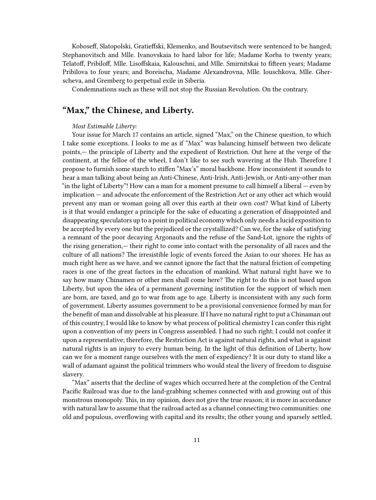Koboseff, Slatopolski, Gratieffski, Klemenko, and Boutsevitsch were sentenced to be hanged; Stephanovitsch and Mlle. Ivanovskaia to hard labor for life; Madame Korba to twenty years; Telatoff, Pribiloff, Mlle. Lisoffskaia, Kalouschni, and Mlle. Smirnitskai to fifteen years; Madame Pribilova to four years; and Boreischa, Madame Alexandrovna, Mlle. Iouschkova, Mlle. Gherscheva, and Gremberg to perpetual exile in Siberia.

Condemnations such as these will not stop the Russian Revolution. On the contrary.

# <span id="page-10-0"></span>**"Max," the Chinese, and Liberty.**

#### *Most Estimable Liberty:*

Your issue for March 17 contains an article, signed "Max," on the Chinese question, to which I take some exceptions. I looks to me as if "Max" was balancing himself between two delicate points,— the principle of Liberty and the expedient of Restriction. Out here at the verge of the continent, at the felloe of the wheel, I don't like to see such wavering at the Hub. Therefore I propose to furnish some starch to stiffen "Max's" moral backbone. How inconsistent it sounds to hear a man talking about being an Anti-Chinese, Anti-Irish, Anti-Jewish, or Anti-any-other man "in the light of Liberty"! How can a man for a moment presume to call himself a liberal — even by implication — and advocate the enforcement of the Restriction Act or any other act which would prevent any man or woman going all over this earth at their own cost? What kind of Liberty is it that would endanger a principle for the sake of educating a generation of disappointed and disappearing speculators up to a point in political economy which only needs a lucid exposition to be accepted by every one but the prejudiced or the crystallized? Can we, for the sake of satisfying a remnant of the poor decaying Argonauts and the refuse of the Sand-Lot, ignore the rights of the rising generation,— their right to come into contact with the personality of all races and the culture of all nations? The irresistible logic of events forced the Asian to our shores. He has as much right here as we have, and we cannot ignore the fact that the natural friction of competing races is one of the great factors in the education of mankind. What natural right have we to say how many Chinamen or other men shall come here? The right to do this is not based upon Liberty, but upon the idea of a permanent governing institution for the support of which men are born, are taxed, and go to war from age to age. Liberty is inconsistent with any such form of government. Liberty assumes government to be a provisional convenience formed by man for the benefit of man and dissolvable at his pleasure. If I have no natural right to put a Chinaman out of this country, I would like to know by what process of political chemistry I can confer this right upon a convention of my peers in Congress assembled. I had no such right; I could not confer it upon a representative; therefore, the Restriction Act is against natural rights, and what is against natural rights is an injury to every human being. In the light of this definition of Liberty, how can we for a moment range ourselves with the men of expediency? It is our duty to stand like a wall of adamant against the political trimmers who would steal the livery of freedom to disguise slavery.

"Max" asserts that the decline of wages which occurred here at the completion of the Central Pacific Railroad was due to the land-grabbing schemes connected with and growing out of this monstrous monopoly. This, in my opinion, does not give the true reason; it is more in accordance with natural law to assume that the railroad acted as a channel connecting two communities: one old and populous, overflowing with capital and its results; the other young and sparsely settled,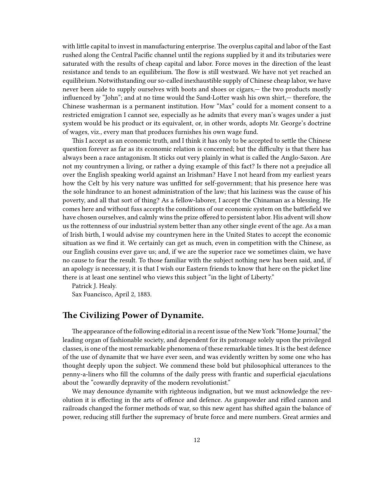with little capital to invest in manufacturing enterprise. The overplus capital and labor of the East rushed along the Central Pacific channel until the regions supplied by it and its tributaries were saturated with the results of cheap capital and labor. Force moves in the direction of the least resistance and tends to an equilibrium. The flow is still westward. We have not yet reached an equilibrium. Notwithstanding our so-called inexhaustible supply of Chinese cheap labor, we have never been aide to supply ourselves with boots and shoes or cigars,— the two products mostly influenced by "John"; and at no time would the Sand-Lotter wash his own shirt,— therefore, the Chinese washerman is a permanent institution. How "Max" could for a moment consent to a restricted emigration I cannot see, especially as he admits that every man's wages under a just system would be his product or its equivalent, or, in other words, adopts Mr. George's doctrine of wages, viz., every man that produces furnishes his own wage fund.

This I accept as an economic truth, and I think it has only to be accepted to settle the Chinese question forever as far as its economic relation is concerned; but the difficulty is that there has always been a race antagonism. It sticks out very plainly in what is called the Anglo-Saxon. Are not my countrymen a living, or rather a dying example of this fact? Is there not a prejudice all over the English speaking world against an Irishman? Have I not heard from my earliest years how the Celt by his very nature was unfitted for self-government; that his presence here was the sole hindrance to an honest administration of the law; that his laziness was the cause of his poverty, and all that sort of thing? As a fellow-laborer, I accept the Chinaman as a blessing. He comes here and without fuss accepts the conditions of our economic system on the battlefield we have chosen ourselves, and calmly wins the prize offered to persistent labor. His advent will show us the rottenness of our industrial system better than any other single event of the age. As a man of Irish birth, I would advise my countrymen here in the United States to accept the economic situation as we find it. We certainly can get as much, even in competition with the Chinese, as our English cousins ever gave us; and, if we are the superior race we sometimes claim, we have no cause to fear the result. To those familiar with the subject nothing new has been said, and, if an apology is necessary, it is that I wish our Eastern friends to know that here on the picket line there is at least one sentinel who views this subject "in the light of Liberty."

Patrick J. Healy.

Sax Fuancisco, April 2, 1883.

# <span id="page-11-0"></span>**The Civilizing Power of Dynamite.**

The appearance of the following editorial in a recent issue of the New York "Home Journal," the leading organ of fashionable society, and dependent for its patronage solely upon the privileged classes, is one of the most remarkable phenomena of these remarkable times. It is the best defence of the use of dynamite that we have ever seen, and was evidently written by some one who has thought deeply upon the subject. We commend these bold but philosophical utterances to the penny-a-liners who fill the columns of the daily press with frantic and superficial ejaculations about the "cowardly depravity of the modern revolutionist."

We may denounce dynamite with righteous indignation, but we must acknowledge the revolution it is effecting in the arts of offence and defence. As gunpowder and rifled cannon and railroads changed the former methods of war, so this new agent has shifted again the balance of power, reducing still further the supremacy of brute force and mere numbers. Great armies and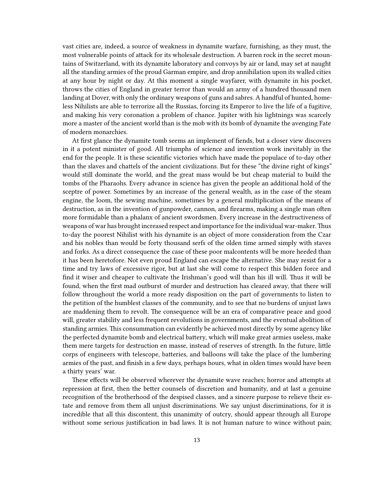vast cities are, indeed, a source of weakness in dynamite warfare, furnishing, as they must, the most vulnerable points of attack for its wholesale destruction. A barren rock in the secret mountains of Switzerland, with its dynamite laboratory and convoys by air or land, may set at naught all the standing armies of the proud Garman empire, and drop annihilation upon its walled cities at any hour by night or day. At this moment a single wayfarer, with dynamite in his pocket, throws the cities of England in greater terror than would an army of a hundred thousand men landing at Dover, with only the ordinary weapons of guns and sabres. A handful of hunted, homeless Nihilists are able to terrorize all the Russias, forcing its Emperor to live the life of a fugitive, and making his very coronation a problem of chance. Jupiter with his lightnings was scarcely more a master of the ancient world than is the mob with its bomb of dynamite the avenging Fate of modern monarchies.

At first glance the dynamite tomb seems an implement of fiends, but a closer view discovers in it a potent minister of good. All triumphs of science and invention work inevitably in the end for the people. It is these scientific victories which have made the populace of to-day other than the slaves and chattels of the ancient civilizations. But for these "the divine right of kings" would still dominate the world, and the great mass would be but cheap material to build the tombs of the Pharaohs. Every advance in science has given the people an additional hold of the sceptre of power. Sometimes by an increase of the general wealth, as in the case of the steam engine, the loom, the sewing machine, sometimes by a general multiplication of the means of destruction, as in the invention of gunpowder, cannon, and firearms, making a single man often more formidable than a phalanx of ancient swordsmen. Every increase in the destructiveness of weapons of war has brought increased respect and importance for the individual war-maker.Thus to-day the poorest Nihilist with his dynamite is an object of more consideration from the Czar and his nobles than would be forty thousand serfs of the olden time armed simply with staves and forks. As a direct consequence the case of these poor malcontents will be more heeded than it has been heretofore. Not even proud England can escape the alternative. She may resist for a time and try laws of excessive rigor, but at last she will come to respect this bidden force and find it wiser and cheaper to cultivate the Irishman's good will than his ill will. Thus it will be found, when the first mad outburst of murder and destruction has cleared away, that there will follow throughout the world a more ready disposition on the part of governments to listen to the petition of the humblest classes of the community, and to see that no burdens of unjust laws are maddening them to revolt. The consequence will be an era of comparative peace and good will, greater stability and less frequent revolutions in governments, and the eventual abolition of standing armies. This consummation can evidently be achieved most directly by some agency like the perfected dynamite bomb and electrical battery, which will make great armies useless, make them mere targets for destruction en masse, instead of reserves of strength. In the future, little corps of engineers with telescope, batteries, and balloons will take the place of the lumbering armies of the past, and finish in a few days, perhaps hours, what in olden times would have been a thirty years' war.

These effects will be observed wherever the dynamite wave reaches; horror and attempts at repression at first, then the better counsels of discretion and humanity, and at last a genuine recognition of the brotherhood of the despised classes, and a sincere purpose to relieve their estate and remove from them all unjust discriminations. We say unjust discriminations, for it is incredible that all this discontent, this unanimity of outcry, should appear through all Europe without some serious justification in bad laws. It is not human nature to wince without pain;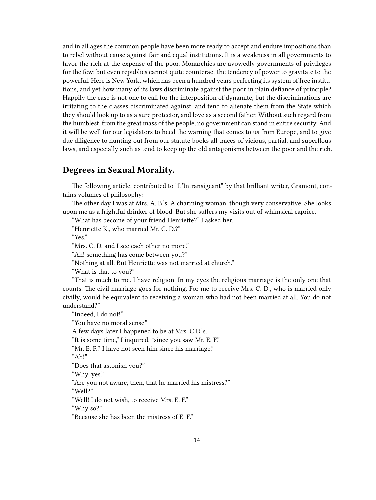and in all ages the common people have been more ready to accept and endure impositions than to rebel without cause against fair and equal institutions. It is a weakness in all governments to favor the rich at the expense of the poor. Monarchies are avowedly governments of privileges for the few; but even republics cannot quite counteract the tendency of power to gravitate to the powerful. Here is New York, which has been a hundred years perfecting its system of free institutions, and yet how many of its laws discriminate against the poor in plain defiance of principle? Happily the case is not one to call for the interposition of dynamite, but the discriminations are irritating to the classes discriminated against, and tend to alienate them from the State which they should look up to as a sure protector, and love as a second father. Without such regard from the humblest, from the great mass of the people, no government can stand in entire security. And it will be well for our legislators to heed the warning that comes to us from Europe, and to give due diligence to hunting out from our statute books all traces of vicious, partial, and superflous laws, and especially such as tend to keep up the old antagonisms between the poor and the rich.

#### <span id="page-13-0"></span>**Degrees in Sexual Morality.**

The following article, contributed to "L'Intransigeant" by that brilliant writer, Gramont, contains volumes of philosophy:

The other day I was at Mrs. A. B.'s. A charming woman, though very conservative. She looks upon me as a frightful drinker of blood. But she suffers my visits out of whimsical caprice.

"What has become of your friend Henriette?" I asked her.

"Henriette K., who married Mr. C. D.?"

"Yes."

"Mrs. C. D. and I see each other no more."

"Ah! something has come between you?"

"Nothing at all. But Henriette was not married at church."

"What is that to you?"

"That is much to me. I have religion. In my eyes the religious marriage is the only one that counts. The civil marriage goes for nothing. For me to receive Mrs. C. D., who is married only civilly, would be equivalent to receiving a woman who had not been married at all. You do not understand?"

"Indeed, I do not!"

"You have no moral sense."

A few days later I happened to be at Mrs. C D.'s.

"It is some time," I inquired, "since you saw Mr. E. F."

"Mr. E. F.? I have not seen him since his marriage."

"Ah!"

"Does that astonish you?"

"Why, yes."

"Are you not aware, then, that he married his mistress?"

"Well?"

"Well! I do not wish, to receive Mrs. E. F."

"Why so?"

"Because she has been the mistress of E. F."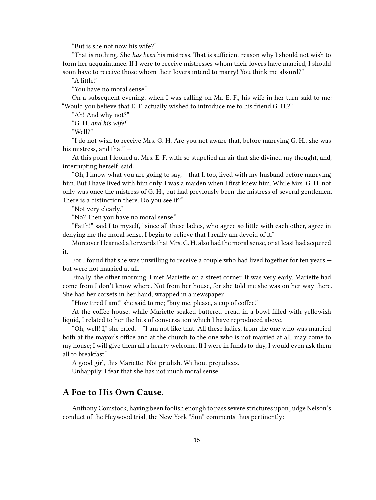"But is she not now his wife?"

"That is nothing. She *has been* his mistress. That is sufficient reason why I should not wish to form her acquaintance. If I were to receive mistresses whom their lovers have married, I should soon have to receive those whom their lovers intend to marry! You think me absurd?"

"A little."

"You have no moral sense."

On a subsequent evening, when I was calling on Mr. E. F., his wife in her turn said to me: "Would you believe that E. F. actually wished to introduce me to his friend G. H.?"

"Ah! And why not?" "G. H. *and his wife!*"

"Well?"

"I do not wish to receive Mrs. G. H. Are you not aware that, before marrying G. H., she was his mistress, and that" —

At this point I looked at Mrs. E. F. with so stupefied an air that she divined my thought, and, interrupting herself, said:

"Oh, I know what you are going to say,— that I, too, lived with my husband before marrying him. But I have lived with him only. I was a maiden when I first knew him. While Mrs. G. H. not only was once the mistress of G. H., but had previously been the mistress of several gentlemen. There is a distinction there. Do you see it?"

"Not very clearly."

"No? Then you have no moral sense."

"Faith!" said I to myself, "since all these ladies, who agree so little with each other, agree in denying me the moral sense, I begin to believe that I really am devoid of it."

Moreover I learned afterwards that Mrs. G. H. also had the moral sense, or at least had acquired it.

For I found that she was unwilling to receive a couple who had lived together for ten years, but were not married at all.

Finally, the other morning, I met Mariette on a street corner. It was very early. Mariette had come from I don't know where. Not from her house, for she told me she was on her way there. She had her corsets in her hand, wrapped in a newspaper.

"How tired I am!" she said to me; "buy me, please, a cup of coffee."

At the coffee-house, while Mariette soaked buttered bread in a bowl filled with yellowish liquid, I related to her the bits of conversation which I have reproduced above.

"Oh, well! I," she cried,— "I am not like that. All these ladies, from the one who was married both at the mayor's office and at the church to the one who is not married at all, may come to my house; I will give them all a hearty welcome. If I were in funds to-day, I would even ask them all to breakfast."

A good girl, this Mariette! Not prudish. Without prejudices.

Unhappily, I fear that she has not much moral sense.

# <span id="page-14-0"></span>**A Foe to His Own Cause.**

Anthony Comstock, having been foolish enough to pass severe strictures upon Judge Nelson's conduct of the Heywood trial, the New York "Sun" comments thus pertinently: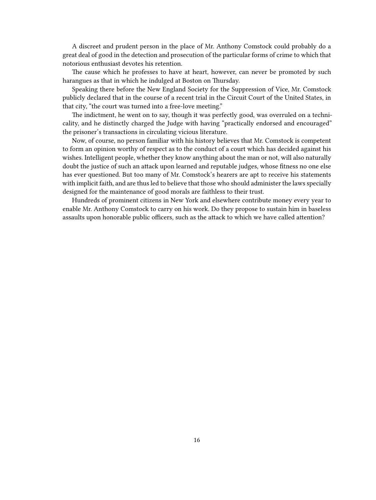A discreet and prudent person in the place of Mr. Anthony Comstock could probably do a great deal of good in the detection and prosecution of the particular forms of crime to which that notorious enthusiast devotes his retention.

The cause which he professes to have at heart, however, can never be promoted by such harangues as that in which he indulged at Boston on Thursday.

Speaking there before the New England Society for the Suppression of Vice, Mr. Comstock publicly declared that in the course of a recent trial in the Circuit Court of the United States, in that city, "the court was turned into a free-love meeting."

The indictment, he went on to say, though it was perfectly good, was overruled on a technicality, and he distinctly charged the Judge with having "practically endorsed and encouraged" the prisoner's transactions in circulating vicious literature.

Now, of course, no person familiar with his history believes that Mr. Comstock is competent to form an opinion worthy of respect as to the conduct of a court which has decided against his wishes. Intelligent people, whether they know anything about the man or not, will also naturally doubt the justice of such an attack upon learned and reputable judges, whose fitness no one else has ever questioned. But too many of Mr. Comstock's hearers are apt to receive his statements with implicit faith, and are thus led to believe that those who should administer the laws specially designed for the maintenance of good morals are faithless to their trust.

Hundreds of prominent citizens in New York and elsewhere contribute money every year to enable Mr. Anthony Comstock to carry on his work. Do they propose to sustain him in baseless assaults upon honorable public officers, such as the attack to which we have called attention?